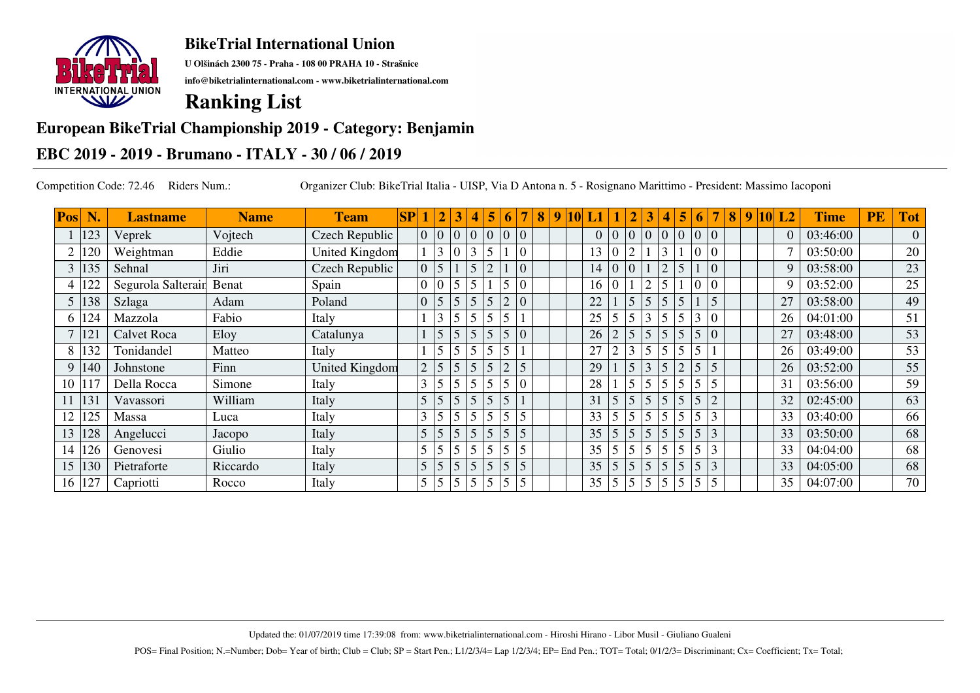

**U Olšinách 2300 75 - Praha - 108 00 PRAHA 10 - Strašnice**

**info@biketrialinternational.com - www.biketrialinternational.com**

# **Ranking List**

#### **European BikeTrial Championship 2019 - Category: Benjamin**

### **EBC 2019 - 2019 - Brumano - ITALY - 30 / 06 / 2019**

Competition Code: 72.46 Riders Num.: Organizer Club: BikeTrial Italia - UISP, Via D Antona n. 5 - Rosignano Marittimo - President: Massimo Iacoponi

| Pos |     | <b>Lastname</b>    | <b>Name</b> | <b>Team</b>           | SP |                | $\overline{2}$  |   | 4              | 5               | 6              | 7              | 8 <sup>°</sup> | 9 |                 |                |                |          | 4               | 5              | 6                       |                | 8 | 9 | <b>10</b> | L2       | <b>Time</b> | PE | <b>Tot</b>     |
|-----|-----|--------------------|-------------|-----------------------|----|----------------|-----------------|---|----------------|-----------------|----------------|----------------|----------------|---|-----------------|----------------|----------------|----------|-----------------|----------------|-------------------------|----------------|---|---|-----------|----------|-------------|----|----------------|
|     | 123 | Veprek             | Vojtech     | Czech Republic        |    |                | 0 0 0           |   | $\overline{0}$ | $\overline{0}$  | $\overline{0}$ | $\overline{0}$ |                |   | 0 <sup>10</sup> |                | $ 0\rangle$    | $\theta$ | $ 0\rangle$     | $\Omega$       | $\vert 0 \vert 0 \vert$ |                |   |   |           | $\Omega$ | 03:46:00    |    | $\overline{0}$ |
|     | 120 | Weightman          | Eddie       | <b>United Kingdom</b> |    |                | $\mathfrak{Z}$  |   | 3              | $5\overline{5}$ |                | $\overline{0}$ |                |   | 13              |                |                |          | 3               |                | $\overline{0}$          |                |   |   |           |          | 03:50:00    |    | 20             |
| 3   | 135 | Sehnal             | Jiri        | Czech Republic        |    | $\overline{0}$ | $\overline{5}$  |   | 5              | $\overline{2}$  |                | $\overline{0}$ |                |   | 14              | $\overline{0}$ | $\overline{0}$ |          | $\overline{2}$  | 5              |                         | $\overline{0}$ |   |   |           | 9        | 03:58:00    |    | 23             |
|     | 122 | Segurola Salterain | Benat       | Spain                 |    |                | $10^{-7}$       |   | 5              |                 | 5              | $\theta$       |                |   | 16              | $\theta$       |                | ◠        | 5               |                | $\overline{0}$          | $\Omega$       |   |   |           | 9        | 03:52:00    |    | 25             |
|     | 138 | Szlaga             | Adam        | Poland                |    | $\theta$       | $\sqrt{5}$      |   | 5              | 5               |                |                |                |   | 22              |                | 5              |          | $\overline{5}$  |                |                         |                |   |   |           | 27       | 03:58:00    |    | 49             |
| h.  | 124 | Mazzola            | Fabio       | Italy                 |    |                | 3               |   | 5              | $\overline{5}$  |                |                |                |   | 25              | 5              | 5              |          | $5\overline{5}$ | 5              | 3                       |                |   |   |           | 26       | 04:01:00    |    | 51             |
|     | 121 | <b>Calvet Roca</b> | Eloy        | Catalunya             |    |                | 5 <sup>5</sup>  |   | 5              | $\overline{5}$  |                | $\overline{0}$ |                |   | 26              | $\overline{2}$ | 5              |          | 5               | 5              | 5 <sup>5</sup>          | 10             |   |   |           | 27       | 03:48:00    |    | 53             |
| 8   | 132 | Tonidandel         | Matteo      | Italy                 |    |                | 5 <sup>5</sup>  |   | 5              | 5 <sub>5</sub>  |                |                |                |   | 27              | $\overline{2}$ | 3              |          | 5               |                | 5 <sup>5</sup>          |                |   |   |           | 26       | 03:49:00    |    | 53             |
| 9   | 140 | Johnstone          | Finn        | United Kingdom        |    | $\overline{2}$ | 5               | 5 | 5              | 5               | $\mathfrak{2}$ | $\overline{5}$ |                |   | 29              |                | 5              | 3        | $\sqrt{5}$      | $\overline{2}$ | 5                       | 5              |   |   |           | 26       | 03:52:00    |    | 55             |
| 10  | 117 | Della Rocca        | Simone      | Italy                 |    |                | $5^{\circ}$     |   | 5              | 5               |                | $\Omega$       |                |   | 28              |                | 5              |          | 5               | 5              | $5\overline{)}$         |                |   |   |           | 31       | 03:56:00    |    | 59             |
|     | 131 | Vavassori          | William     | Italy                 |    | 5              | 5               |   | 5              | $\overline{5}$  | 5              |                |                |   | 31              | 5              | 5              |          | $\overline{5}$  | 5              | $\sqrt{5}$              |                |   |   |           | 32       | 02:45:00    |    | 63             |
| 12  | 125 | Massa              | Luca        | Italy                 |    | 3              | $5\overline{)}$ | 5 | 5              | $\overline{5}$  |                | 5              |                |   | 33              | $\mathfrak{S}$ | 5              |          | $\overline{5}$  |                | 5                       |                |   |   |           | 33       | 03:40:00    |    | 66             |
| 13  | 128 | Angelucci          | Jacopo      | Italy                 |    | 5              | 5               |   | 5              | $\overline{5}$  | 5              | $\overline{5}$ |                |   | 35              | 5              | 5              |          | 5               | 5              | 5 <sup>5</sup>          | 3              |   |   |           | 33       | 03:50:00    |    | 68             |
| 14  | 126 | Genovesi           | Giulio      | Italy                 |    | 5              | 5 <sup>5</sup>  | 5 | 5              | 5               |                | 5 <sup>5</sup> |                |   | 35              | 5              |                |          | 5               |                | 5 <sup>5</sup>          |                |   |   |           | 33       | 04:04:00    |    | 68             |
| 15  | 130 | Pietraforte        | Riccardo    | Italy                 |    | 5              | 5               | 5 | 5              | $\overline{.5}$ | $\overline{5}$ | $\overline{5}$ |                |   | 35              | 5 <sup>5</sup> | 5              | 5        | $\overline{5}$  | $\overline{5}$ | 5 <sup>5</sup>          | 3              |   |   |           | 33       | 04:05:00    |    | 68             |
| 16  | 127 | Capriotti          | Rocco       | Italy                 |    | 5              | 5               |   | 5              | 5 <sup>5</sup>  | 5              | 5              |                |   | 35              | 5              | 5              | 5        | $\overline{5}$  | 5              | 5                       |                |   |   |           | 35       | 04:07:00    |    | 70             |

Updated the: 01/07/2019 time 17:39:08 from: www.biketrialinternational.com - Hiroshi Hirano - Libor Musil - Giuliano Gualeni

POS= Final Position; N.=Number; Dob= Year of birth; Club = Club; SP = Start Pen.; L1/2/3/4= Lap 1/2/3/4; EP= End Pen.; TOT= Total; 0/1/2/3= Discriminant; Cx= Coefficient; Tx= Total;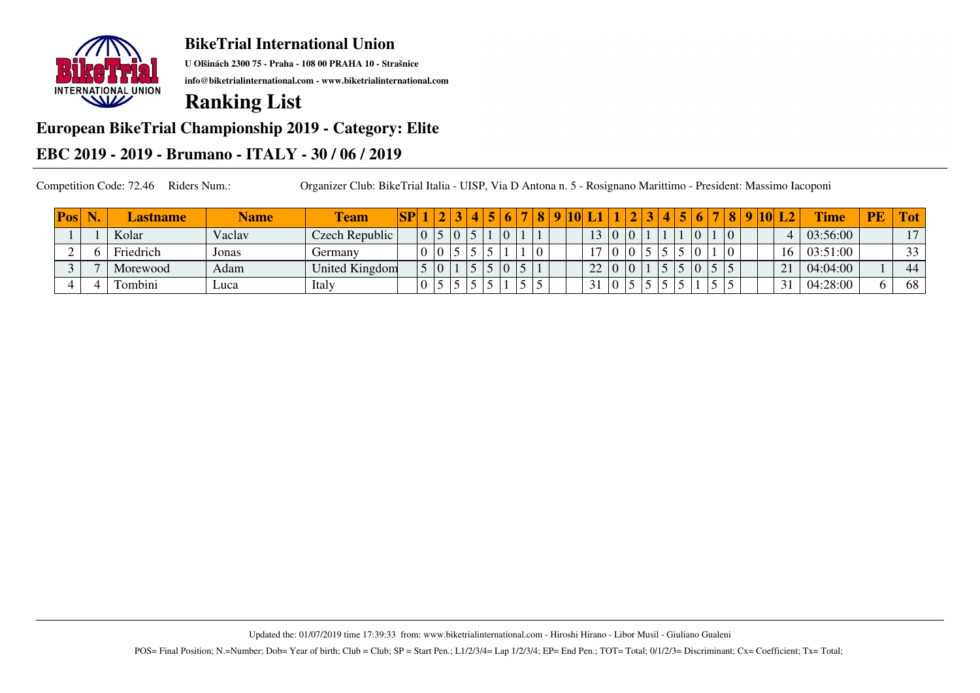

**U Olšinách 2300 75 - Praha - 108 00 PRAHA 10 - Strašnice**

**info@biketrialinternational.com - www.biketrialinternational.com**

# **Ranking List**

#### **European BikeTrial Championship 2019 - Category: Elite**

### **EBC 2019 - 2019 - Brumano - ITALY - 30 / 06 / 2019**

| Pos | <b>IN</b> | <b>Lastname</b> | <b>Name</b> | <b>l'eam</b>          | SP |   |  |  |  |            | $\Omega$ |                |                |   |  |               | $\bf{8}$ | 10 L | $\mathbf{L2}^{\prime}$ | Time     | PE | <b>Tot</b>     |
|-----|-----------|-----------------|-------------|-----------------------|----|---|--|--|--|------------|----------|----------------|----------------|---|--|---------------|----------|------|------------------------|----------|----|----------------|
|     |           | Kolar           | Vaclav      | Czech Republic        |    | 0 |  |  |  |            |          | 1 <sup>2</sup> | $\overline{0}$ |   |  | $\Omega$      |          |      |                        | 03:56:00 |    | 1 <sub>7</sub> |
|     |           | Friedrich       | Jonas       | Germany               |    |   |  |  |  | $\sqrt{ }$ |          | 1 <sub>7</sub> |                |   |  |               |          |      | 16                     | 03:51:00 |    | 33<br>IJ       |
|     |           | Morewood        | Adam        | <b>United Kingdom</b> |    |   |  |  |  |            |          | 22             |                | V |  | $\Omega$<br>v |          |      | $\bigcap$ 1<br>4.      | 04:04:00 |    | 44             |
|     |           | Tombini         | Luca        | Italy                 |    |   |  |  |  |            |          | 31             |                |   |  |               |          |      | $\bigcap$ 1<br>JІ      | 04:28:00 |    | 68             |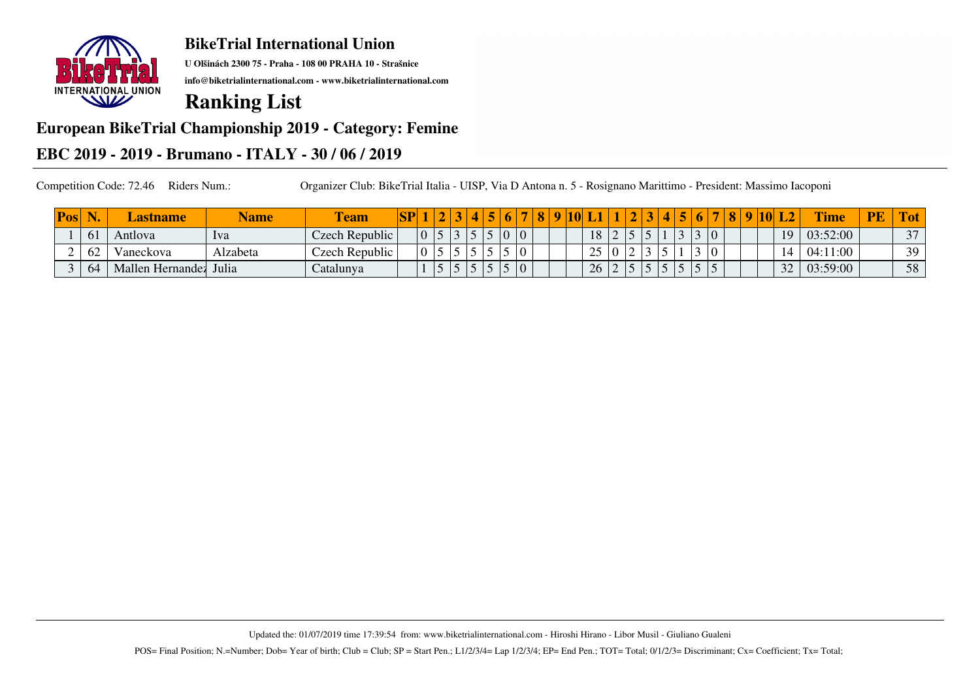

**U Olšinách 2300 75 - Praha - 108 00 PRAHA 10 - Strašnice**

**info@biketrialinternational.com - www.biketrialinternational.com**

# **Ranking List**

#### **European BikeTrial Championship 2019 - Category: Femine**

### **EBC 2019 - 2019 - Brumano - ITALY - 30 / 06 / 2019**

Competition Code: 72.46 Riders Num.: Organizer Club: BikeTrial Italia - UISP, Via D Antona n. 5 - Rosignano Marittimo - President: Massimo Iacoponi

| Pos |                | <b>Lastname</b>  | <b>Name</b> | l'eam          | SP |  |                |   |  | 0 | $\mathbf{\Omega}$ |                |                          |  |   |  |                |  | <b>10</b> |    | Time     | <b>PE</b> | ιοτ    |
|-----|----------------|------------------|-------------|----------------|----|--|----------------|---|--|---|-------------------|----------------|--------------------------|--|---|--|----------------|--|-----------|----|----------|-----------|--------|
|     | 0 <sup>1</sup> | Antiova          | 1va         | Czech Republic |    |  |                |   |  |   |                   | 18             | $\overline{\phantom{0}}$ |  |   |  | $\overline{0}$ |  |           | 1Q | 03:52:00 |           | $\sim$ |
|     | 62             | Vaneckova        | Alzabeta    | Czech Republic |    |  |                | ັ |  |   |                   | $\gamma$<br>ر_ |                          |  |   |  |                |  |           |    | 04:11:00 |           | 39     |
|     | 64             | Mallen Hernandez | Julia       | Catalunya      |    |  | $\overline{ }$ |   |  |   |                   | 26             | $\overline{ }$           |  | ັ |  |                |  |           | 22 | 03:59:00 |           | 58     |

Updated the: 01/07/2019 time 17:39:54 from: www.biketrialinternational.com - Hiroshi Hirano - Libor Musil - Giuliano Gualeni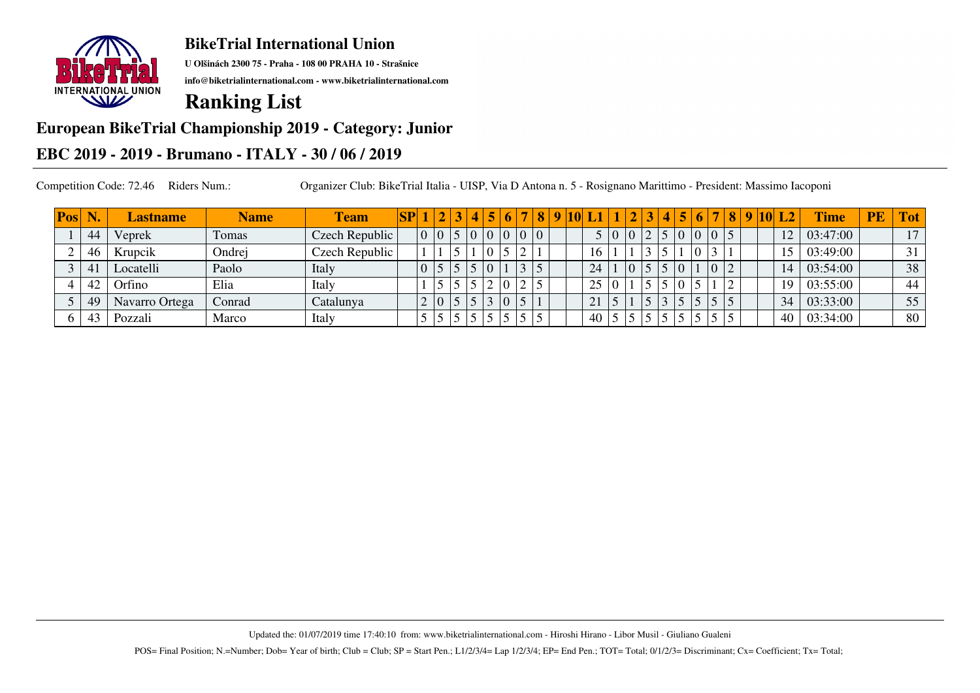

**U Olšinách 2300 75 - Praha - 108 00 PRAHA 10 - Strašnice**

**info@biketrialinternational.com - www.biketrialinternational.com**

# **Ranking List**

### **European BikeTrial Championship 2019 - Category: Junior**

### **EBC 2019 - 2019 - Brumano - ITALY - 30 / 06 / 2019**

| <b>Pos</b> | W.                    | <b>Lastname</b> | <b>Name</b> | <b>Team</b>    | SP |                |             |   |                |       | $\overline{\mathbf{8}}$ |  |    |     |  | 4 5 |                | 6 | <b>8</b> | <b>19F</b> | $ 10 $ L2       | <b>Time</b> | <b>PE</b> | <b>Tot</b>      |
|------------|-----------------------|-----------------|-------------|----------------|----|----------------|-------------|---|----------------|-------|-------------------------|--|----|-----|--|-----|----------------|---|----------|------------|-----------------|-------------|-----------|-----------------|
|            | 44                    | Veprek          | Tomas       | Czech Republic |    | $\overline{0}$ | $ 0\rangle$ |   | $\overline{0}$ | 0 0 0 |                         |  |    | 5 0 |  |     | $\overline{0}$ |   |          |            | 12              | 03:47:00    |           | 17              |
|            | 46                    | Krupcik         | Ondrej      | Czech Republic |    |                |             |   |                |       |                         |  |    |     |  |     |                |   |          |            |                 | 03:49:00    |           | 31 <sub>1</sub> |
|            | $\mathcal{A}^{\cdot}$ | Locatelli       | Paolo       | Italy          |    |                |             |   |                |       |                         |  | 24 |     |  |     |                |   |          |            | $\overline{14}$ | 03:54:00    |           | 38              |
|            | -42                   | Orfino          | Elia        | Italy          |    |                |             |   |                |       |                         |  | 25 | 0   |  |     |                |   |          |            | 19              | 03:55:00    |           | 44              |
|            | 49                    | Navarro Ortega  | Conrad      | Catalunya      |    |                |             |   |                |       |                         |  | 21 |     |  |     |                |   |          |            | 34              | 03:33:00    |           | 55              |
|            | 43                    | Pozzali         | Marco       | Italy          |    |                |             | ັ |                |       |                         |  | 40 |     |  |     |                |   |          |            | 40              | 03:34:00    |           | 80              |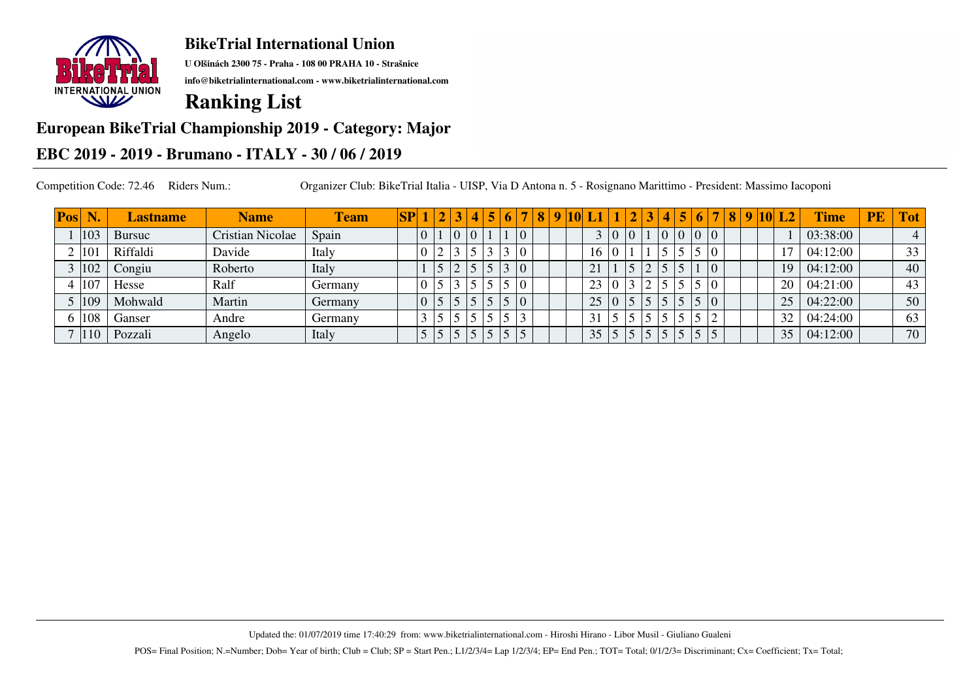

**U Olšinách 2300 75 - Praha - 108 00 PRAHA 10 - Strašnice**

**info@biketrialinternational.com - www.biketrialinternational.com**

# **Ranking List**

### **European BikeTrial Championship 2019 - Category: Major**

### **EBC 2019 - 2019 - Brumano - ITALY - 30 / 06 / 2019**

| <b>Pos</b> | W.           | <b>Lastname</b> | <b>Name</b>             | <b>Team</b> | S <sub>P</sub> |  | 2 3            |  |                | 8 | $\mathbf{Q}$ | <b>TOL</b> |             |                |  | $\overline{\bf 4}$ | $\overline{5}$ | 6                       | $\overline{\tau}$ | $\vert 8$ |  | 9 10 L2                  | <b>Time</b> | <b>PE</b> | <b>Tot</b> |
|------------|--------------|-----------------|-------------------------|-------------|----------------|--|----------------|--|----------------|---|--------------|------------|-------------|----------------|--|--------------------|----------------|-------------------------|-------------------|-----------|--|--------------------------|-------------|-----------|------------|
|            | 103          | Bursuc          | <b>Cristian Nicolae</b> | Spain       |                |  | $\overline{0}$ |  | $\overline{0}$ |   |              |            |             | $\overline{0}$ |  | $ 0\rangle$        |                | $\vert 0 \vert 0 \vert$ |                   |           |  |                          | 03:38:00    |           | 4          |
|            | $10^{\circ}$ | Riffaldi        | Davide                  | Italy       |                |  |                |  |                |   |              |            | 16          |                |  |                    |                |                         |                   |           |  | $\overline{\phantom{a}}$ | 04:12:00    |           | 33         |
|            | 102          | Congiu          | Roberto                 | Italy       |                |  |                |  | $\overline{0}$ |   |              |            | $\bigcap$ 1 |                |  |                    |                |                         |                   |           |  | 19                       | 04:12:00    |           | 40         |
|            | 107          | Hesse           | Ralf                    | Germany     |                |  |                |  |                |   |              |            | 23          |                |  |                    |                |                         |                   |           |  | 20                       | 04:21:00    |           | 43         |
|            | 109          | Mohwald         | Martin                  | Germany     |                |  |                |  |                |   |              |            | 25          | $\Omega$       |  |                    |                |                         |                   |           |  | 25                       | 04:22:00    |           | 50         |
|            | 108          | Ganser          | Andre                   | Germany     |                |  |                |  |                |   |              |            | 31          |                |  |                    |                |                         |                   |           |  | 32                       | 04:24:00    |           | 63         |
|            | 110          | Pozzali         | Angelo                  | Italy       |                |  |                |  |                |   |              |            | 35          |                |  |                    |                |                         |                   |           |  | 35                       | 04:12:00    |           | 70         |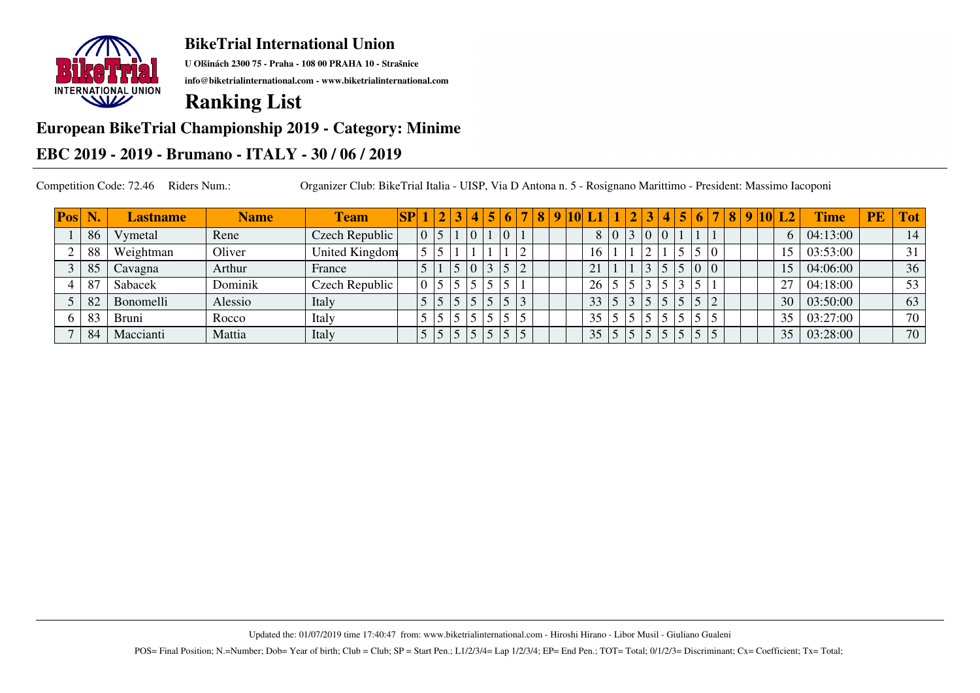

**U Olšinách 2300 75 - Praha - 108 00 PRAHA 10 - Strašnice**

**info@biketrialinternational.com - www.biketrialinternational.com**

# **Ranking List**

### **European BikeTrial Championship 2019 - Category: Minime**

### **EBC 2019 - 2019 - Brumano - ITALY - 30 / 06 / 2019**

| Pos | W. | <b>Lastname</b> | <b>Name</b> | <b>Team</b>    | $\mathbf{S} \mathbf{P}$ | 1 2 | $\sqrt{3}$ 4 | 5 | 6 | 8   9   10 |  |           |                |                | 4 |                 |  |  | 8  9  10  L2  | <b>Time</b> | <b>PE</b> | <b>Tot</b>      |
|-----|----|-----------------|-------------|----------------|-------------------------|-----|--------------|---|---|------------|--|-----------|----------------|----------------|---|-----------------|--|--|---------------|-------------|-----------|-----------------|
|     | 86 | / ymetal        | Rene        | Czech Republic |                         |     |              |   |   |            |  |           | $8\, 0\rangle$ | $\overline{0}$ |   |                 |  |  | 6.            | 04:13:00    |           | 14              |
|     | 88 | Weightman       | Oliver      | United Kingdom |                         |     |              |   |   |            |  | 16        |                |                |   |                 |  |  | 15            | 03:53:00    |           | 31              |
|     | 85 | Cavagna         | Arthur      | France         |                         |     |              |   |   |            |  | $\bigcap$ |                |                |   | 0 <sup>10</sup> |  |  |               | 04:06:00    |           | 36              |
|     | 87 | Sabacek         | Dominik     | Czech Republic |                         |     |              |   |   |            |  | 26        |                |                |   |                 |  |  | $\mathcal{L}$ | 04:18:00    |           | 53              |
|     | 82 | Bonomelli       | Alessio     | Italy          |                         |     |              |   |   |            |  | 33        |                |                |   |                 |  |  | 30            | 03:50:00    |           | 63              |
|     | 83 | <b>Bruni</b>    | Rocco       | Italy          |                         |     |              |   |   |            |  | 35        |                |                |   |                 |  |  | 35            | 03:27:00    |           | 70 <sub>1</sub> |
|     | 84 | Maccianti       | Mattia      | Italy          |                         |     |              |   |   |            |  | 35        |                |                |   |                 |  |  | 35            | 03:28:00    |           | 70              |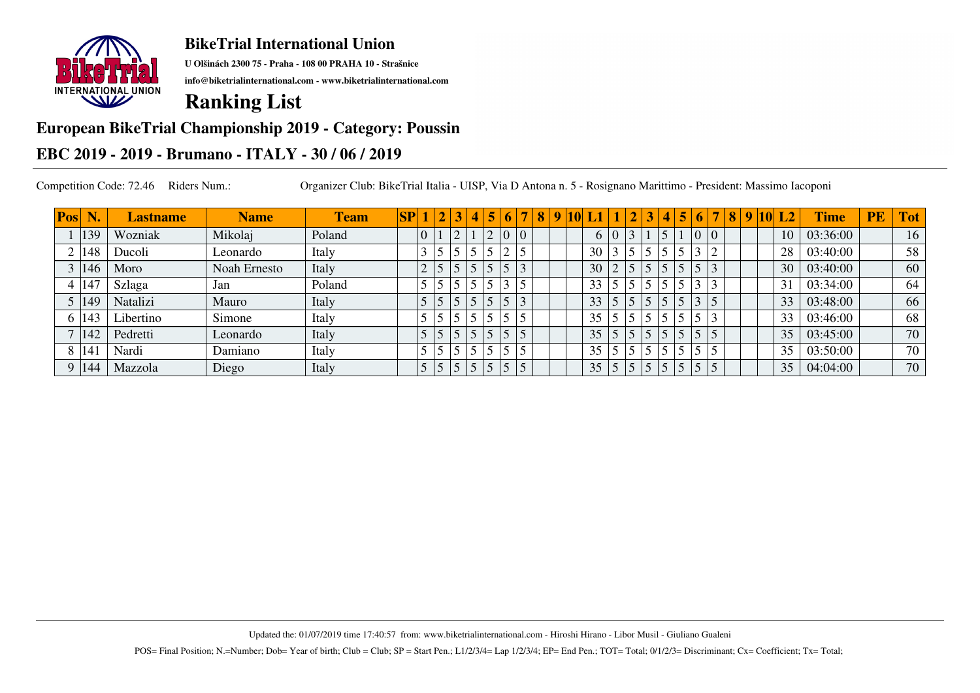

**U Olšinách 2300 75 - Praha - 108 00 PRAHA 10 - Strašnice**

**info@biketrialinternational.com - www.biketrialinternational.com**

# **Ranking List**

#### **European BikeTrial Championship 2019 - Category: Poussin**

### **EBC 2019 - 2019 - Brumano - ITALY - 30 / 06 / 2019**

| Pos | N             | <b>Lastname</b> | <b>Name</b>  | <b>Team</b> | SP |    |                | 2 3                      | $\vert$ 4 $\vert$ | 5 | 6 <sup>1</sup> |                | 8 | -9 | <b>10</b> |    |                |  | $\blacktriangleleft$ | $\vert 5 \vert$ | 6              | $\vert 8$ | 9 <sup>1</sup> | $10\vert L2$ | <b>Time</b> | <b>PE</b> | <b>Tot</b> |
|-----|---------------|-----------------|--------------|-------------|----|----|----------------|--------------------------|-------------------|---|----------------|----------------|---|----|-----------|----|----------------|--|----------------------|-----------------|----------------|-----------|----------------|--------------|-------------|-----------|------------|
|     | 139           | Wozniak         | Mikolaj      | Poland      |    | 10 |                | $\overline{\phantom{0}}$ |                   | ↑ | $\overline{0}$ | $ 0\rangle$    |   |    |           |    | $ 0\rangle$    |  | $\leq$               |                 | 0 <sup>0</sup> |           |                | 10           | 03:36:00    |           | 16         |
|     | $ 148\rangle$ | Ducoli          | Leonardo     | Italy       |    |    |                |                          |                   |   |                | $\leq$         |   |    |           | 30 |                |  |                      |                 |                |           |                | 28           | 03:40:00    |           | 58         |
|     | $ 146\rangle$ | Moro            | Noah Ernesto | Italy       |    |    |                |                          |                   |   |                | $\overline{3}$ |   |    |           | 30 | <sup>2</sup>   |  |                      |                 |                |           |                | 30           | 03:40:00    |           | 60         |
|     | 147           | Szlaga          | Jan          | Poland      |    |    |                |                          |                   |   |                |                |   |    |           | 33 | 5              |  |                      |                 |                |           |                | 31           | 03:34:00    |           | 64         |
|     | 5 149         | Natalizi        | Mauro        | Italy       |    |    |                | 5                        |                   |   |                |                |   |    |           | 33 | 5 <sup>5</sup> |  |                      |                 |                |           |                | 33           | 03:48:00    |           | 66         |
|     | 6 143         | Libertino       | Simone       | Italy       |    |    |                | 5                        |                   |   |                | 5              |   |    |           | 35 |                |  | $\leq$               |                 |                |           |                | 33           | 03:46:00    |           | 68         |
|     | 142           | Pedretti        | Leonardo     | Italy       |    |    | 5              |                          |                   |   |                |                |   |    |           | 35 | $\overline{5}$ |  |                      |                 |                |           |                | 35           | 03:45:00    |           | 70         |
|     | 14            | Nardi           | Damiano      | Italy       |    |    |                | $\leq$                   |                   |   |                | 5              |   |    |           | 35 |                |  | $\epsilon$           |                 |                |           |                | 35           | 03:50:00    |           | 70         |
|     | $ 144\rangle$ | Mazzola         | Diego        | Italy       |    |    | 5 <sup>5</sup> | 5                        |                   |   |                |                |   |    |           | 35 | 5 <sup>1</sup> |  | 5                    |                 | $\sqrt{5}$     |           |                | 35           | 04:04:00    |           | 70         |